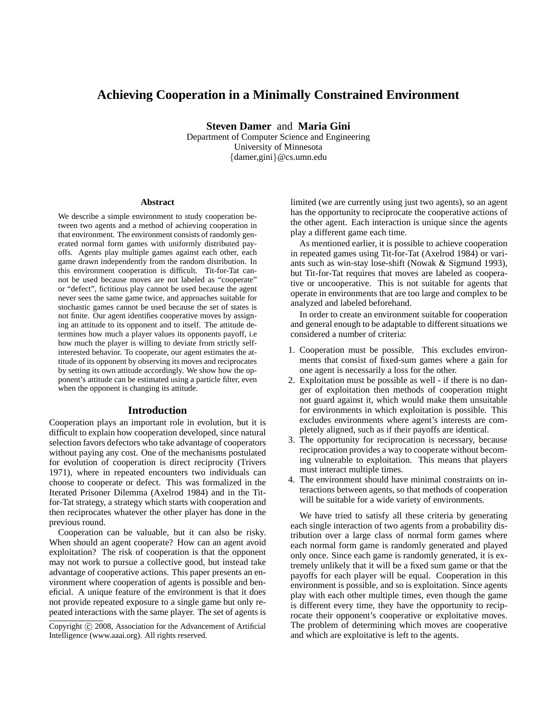# **Achieving Cooperation in a Minimally Constrained Environment**

**Steven Damer** and **Maria Gini**

Department of Computer Science and Engineering University of Minnesota {damer,gini}@cs.umn.edu

#### **Abstract**

We describe a simple environment to study cooperation between two agents and a method of achieving cooperation in that environment. The environment consists of randomly generated normal form games with uniformly distributed payoffs. Agents play multiple games against each other, each game drawn independently from the random distribution. In this environment cooperation is difficult. Tit-for-Tat cannot be used because moves are not labeled as "cooperate" or "defect", fictitious play cannot be used because the agent never sees the same game twice, and approaches suitable for stochastic games cannot be used because the set of states is not finite. Our agent identifies cooperative moves by assigning an attitude to its opponent and to itself. The attitude determines how much a player values its opponents payoff, i.e how much the player is willing to deviate from strictly selfinterested behavior. To cooperate, our agent estimates the attitude of its opponent by observing its moves and reciprocates by setting its own attitude accordingly. We show how the opponent's attitude can be estimated using a particle filter, even when the opponent is changing its attitude.

#### **Introduction**

Cooperation plays an important role in evolution, but it is difficult to explain how cooperation developed, since natural selection favors defectors who take advantage of cooperators without paying any cost. One of the mechanisms postulated for evolution of cooperation is direct reciprocity (Trivers 1971), where in repeated encounters two individuals can choose to cooperate or defect. This was formalized in the Iterated Prisoner Dilemma (Axelrod 1984) and in the Titfor-Tat strategy, a strategy which starts with cooperation and then reciprocates whatever the other player has done in the previous round.

Cooperation can be valuable, but it can also be risky. When should an agent cooperate? How can an agent avoid exploitation? The risk of cooperation is that the opponent may not work to pursue a collective good, but instead take advantage of cooperative actions. This paper presents an environment where cooperation of agents is possible and beneficial. A unique feature of the environment is that it does not provide repeated exposure to a single game but only repeated interactions with the same player. The set of agents is limited (we are currently using just two agents), so an agent has the opportunity to reciprocate the cooperative actions of the other agent. Each interaction is unique since the agents play a different game each time.

As mentioned earlier, it is possible to achieve cooperation in repeated games using Tit-for-Tat (Axelrod 1984) or variants such as win-stay lose-shift (Nowak & Sigmund 1993), but Tit-for-Tat requires that moves are labeled as cooperative or uncooperative. This is not suitable for agents that operate in environments that are too large and complex to be analyzed and labeled beforehand.

In order to create an environment suitable for cooperation and general enough to be adaptable to different situations we considered a number of criteria:

- 1. Cooperation must be possible. This excludes environments that consist of fixed-sum games where a gain for one agent is necessarily a loss for the other.
- 2. Exploitation must be possible as well if there is no danger of exploitation then methods of cooperation might not guard against it, which would make them unsuitable for environments in which exploitation is possible. This excludes environments where agent's interests are completely aligned, such as if their payoffs are identical.
- 3. The opportunity for reciprocation is necessary, because reciprocation provides a way to cooperate without becoming vulnerable to exploitation. This means that players must interact multiple times.
- 4. The environment should have minimal constraints on interactions between agents, so that methods of cooperation will be suitable for a wide variety of environments.

We have tried to satisfy all these criteria by generating each single interaction of two agents from a probability distribution over a large class of normal form games where each normal form game is randomly generated and played only once. Since each game is randomly generated, it is extremely unlikely that it will be a fixed sum game or that the payoffs for each player will be equal. Cooperation in this environment is possible, and so is exploitation. Since agents play with each other multiple times, even though the game is different every time, they have the opportunity to reciprocate their opponent's cooperative or exploitative moves. The problem of determining which moves are cooperative and which are exploitative is left to the agents.

Copyright (c) 2008, Association for the Advancement of Artificial Intelligence (www.aaai.org). All rights reserved.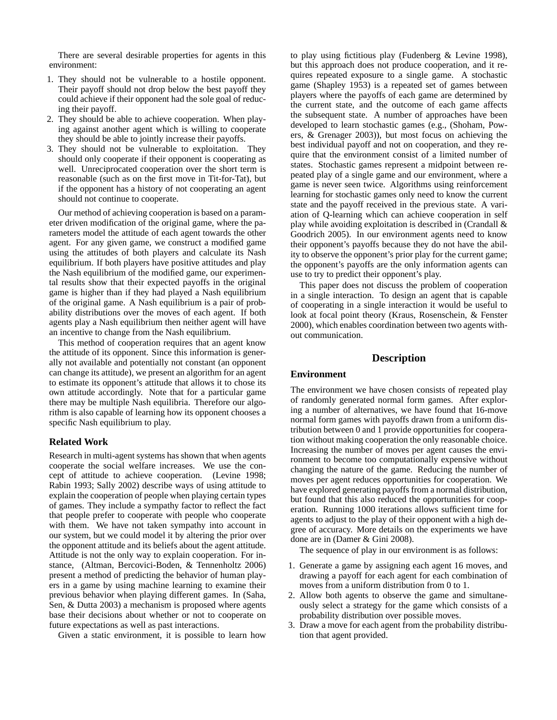There are several desirable properties for agents in this environment:

- 1. They should not be vulnerable to a hostile opponent. Their payoff should not drop below the best payoff they could achieve if their opponent had the sole goal of reducing their payoff.
- 2. They should be able to achieve cooperation. When playing against another agent which is willing to cooperate they should be able to jointly increase their payoffs.
- 3. They should not be vulnerable to exploitation. They should only cooperate if their opponent is cooperating as well. Unreciprocated cooperation over the short term is reasonable (such as on the first move in Tit-for-Tat), but if the opponent has a history of not cooperating an agent should not continue to cooperate.

Our method of achieving cooperation is based on a parameter driven modification of the original game, where the parameters model the attitude of each agent towards the other agent. For any given game, we construct a modified game using the attitudes of both players and calculate its Nash equilibrium. If both players have positive attitudes and play the Nash equilibrium of the modified game, our experimental results show that their expected payoffs in the original game is higher than if they had played a Nash equilibrium of the original game. A Nash equilibrium is a pair of probability distributions over the moves of each agent. If both agents play a Nash equilibrium then neither agent will have an incentive to change from the Nash equilibrium.

This method of cooperation requires that an agent know the attitude of its opponent. Since this information is generally not available and potentially not constant (an opponent can change its attitude), we present an algorithm for an agent to estimate its opponent's attitude that allows it to chose its own attitude accordingly. Note that for a particular game there may be multiple Nash equilibria. Therefore our algorithm is also capable of learning how its opponent chooses a specific Nash equilibrium to play.

#### **Related Work**

Research in multi-agent systems has shown that when agents cooperate the social welfare increases. We use the concept of attitude to achieve cooperation. (Levine 1998; Rabin 1993; Sally 2002) describe ways of using attitude to explain the cooperation of people when playing certain types of games. They include a sympathy factor to reflect the fact that people prefer to cooperate with people who cooperate with them. We have not taken sympathy into account in our system, but we could model it by altering the prior over the opponent attitude and its beliefs about the agent attitude. Attitude is not the only way to explain cooperation. For instance, (Altman, Bercovici-Boden, & Tennenholtz 2006) present a method of predicting the behavior of human players in a game by using machine learning to examine their previous behavior when playing different games. In (Saha, Sen, & Dutta 2003) a mechanism is proposed where agents base their decisions about whether or not to cooperate on future expectations as well as past interactions.

Given a static environment, it is possible to learn how

to play using fictitious play (Fudenberg & Levine 1998), but this approach does not produce cooperation, and it requires repeated exposure to a single game. A stochastic game (Shapley 1953) is a repeated set of games between players where the payoffs of each game are determined by the current state, and the outcome of each game affects the subsequent state. A number of approaches have been developed to learn stochastic games (e.g., (Shoham, Powers, & Grenager 2003)), but most focus on achieving the best individual payoff and not on cooperation, and they require that the environment consist of a limited number of states. Stochastic games represent a midpoint between repeated play of a single game and our environment, where a game is never seen twice. Algorithms using reinforcement learning for stochastic games only need to know the current state and the payoff received in the previous state. A variation of Q-learning which can achieve cooperation in self play while avoiding exploitation is described in (Crandall & Goodrich 2005). In our environment agents need to know their opponent's payoffs because they do not have the ability to observe the opponent's prior play for the current game; the opponent's payoffs are the only information agents can use to try to predict their opponent's play.

This paper does not discuss the problem of cooperation in a single interaction. To design an agent that is capable of cooperating in a single interaction it would be useful to look at focal point theory (Kraus, Rosenschein, & Fenster 2000), which enables coordination between two agents without communication.

#### **Description**

## **Environment**

The environment we have chosen consists of repeated play of randomly generated normal form games. After exploring a number of alternatives, we have found that 16-move normal form games with payoffs drawn from a uniform distribution between 0 and 1 provide opportunities for cooperation without making cooperation the only reasonable choice. Increasing the number of moves per agent causes the environment to become too computationally expensive without changing the nature of the game. Reducing the number of moves per agent reduces opportunities for cooperation. We have explored generating payoffs from a normal distribution, but found that this also reduced the opportunities for cooperation. Running 1000 iterations allows sufficient time for agents to adjust to the play of their opponent with a high degree of accuracy. More details on the experiments we have done are in (Damer & Gini 2008).

The sequence of play in our environment is as follows:

- 1. Generate a game by assigning each agent 16 moves, and drawing a payoff for each agent for each combination of moves from a uniform distribution from 0 to 1.
- 2. Allow both agents to observe the game and simultaneously select a strategy for the game which consists of a probability distribution over possible moves.
- 3. Draw a move for each agent from the probability distribution that agent provided.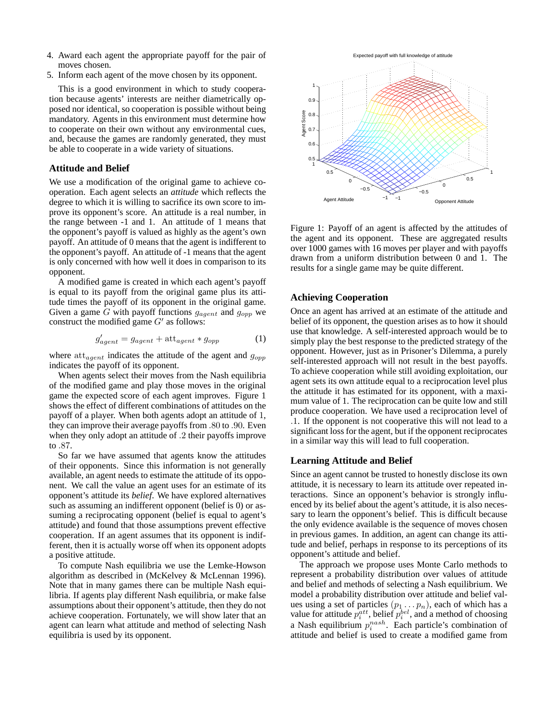- 4. Award each agent the appropriate payoff for the pair of moves chosen.
- 5. Inform each agent of the move chosen by its opponent.

This is a good environment in which to study cooperation because agents' interests are neither diametrically opposed nor identical, so cooperation is possible without being mandatory. Agents in this environment must determine how to cooperate on their own without any environmental cues, and, because the games are randomly generated, they must be able to cooperate in a wide variety of situations.

#### **Attitude and Belief**

We use a modification of the original game to achieve cooperation. Each agent selects an *attitude* which reflects the degree to which it is willing to sacrifice its own score to improve its opponent's score. An attitude is a real number, in the range between -1 and 1. An attitude of 1 means that the opponent's payoff is valued as highly as the agent's own payoff. An attitude of 0 means that the agent is indifferent to the opponent's payoff. An attitude of -1 means that the agent is only concerned with how well it does in comparison to its opponent.

A modified game is created in which each agent's payoff is equal to its payoff from the original game plus its attitude times the payoff of its opponent in the original game. Given a game G with payoff functions  $g_{agent}$  and  $g_{opp}$  we construct the modified game  $G'$  as follows:

$$
g'_{agent} = g_{agent} + \text{att}_{agent} * g_{opp} \tag{1}
$$

where  $\text{att}_{agent}$  indicates the attitude of the agent and  $g_{opp}$ indicates the payoff of its opponent.

When agents select their moves from the Nash equilibria of the modified game and play those moves in the original game the expected score of each agent improves. Figure 1 shows the effect of different combinations of attitudes on the payoff of a player. When both agents adopt an attitude of 1, they can improve their average payoffs from .80 to .90. Even when they only adopt an attitude of .2 their payoffs improve to .87.

So far we have assumed that agents know the attitudes of their opponents. Since this information is not generally available, an agent needs to estimate the attitude of its opponent. We call the value an agent uses for an estimate of its opponent's attitude its *belief*. We have explored alternatives such as assuming an indifferent opponent (belief is 0) or assuming a reciprocating opponent (belief is equal to agent's attitude) and found that those assumptions prevent effective cooperation. If an agent assumes that its opponent is indifferent, then it is actually worse off when its opponent adopts a positive attitude.

To compute Nash equilibria we use the Lemke-Howson algorithm as described in (McKelvey & McLennan 1996). Note that in many games there can be multiple Nash equilibria. If agents play different Nash equilibria, or make false assumptions about their opponent's attitude, then they do not achieve cooperation. Fortunately, we will show later that an agent can learn what attitude and method of selecting Nash equilibria is used by its opponent.



Figure 1: Payoff of an agent is affected by the attitudes of the agent and its opponent. These are aggregated results over 1000 games with 16 moves per player and with payoffs drawn from a uniform distribution between 0 and 1. The results for a single game may be quite different.

## **Achieving Cooperation**

Once an agent has arrived at an estimate of the attitude and belief of its opponent, the question arises as to how it should use that knowledge. A self-interested approach would be to simply play the best response to the predicted strategy of the opponent. However, just as in Prisoner's Dilemma, a purely self-interested approach will not result in the best payoffs. To achieve cooperation while still avoiding exploitation, our agent sets its own attitude equal to a reciprocation level plus the attitude it has estimated for its opponent, with a maximum value of 1. The reciprocation can be quite low and still produce cooperation. We have used a reciprocation level of .1. If the opponent is not cooperative this will not lead to a significant loss for the agent, but if the opponent reciprocates in a similar way this will lead to full cooperation.

#### **Learning Attitude and Belief**

Since an agent cannot be trusted to honestly disclose its own attitude, it is necessary to learn its attitude over repeated interactions. Since an opponent's behavior is strongly influenced by its belief about the agent's attitude, it is also necessary to learn the opponent's belief. This is difficult because the only evidence available is the sequence of moves chosen in previous games. In addition, an agent can change its attitude and belief, perhaps in response to its perceptions of its opponent's attitude and belief.

The approach we propose uses Monte Carlo methods to represent a probability distribution over values of attitude and belief and methods of selecting a Nash equilibrium. We model a probability distribution over attitude and belief values using a set of particles  $(p_1 \dots p_n)$ , each of which has a value for attitude  $p_i^{att}$ , belief  $p_i^{bel}$ , and a method of choosing a Nash equilibrium  $p_i^{nash}$ . Each particle's combination of attitude and belief is used to create a modified game from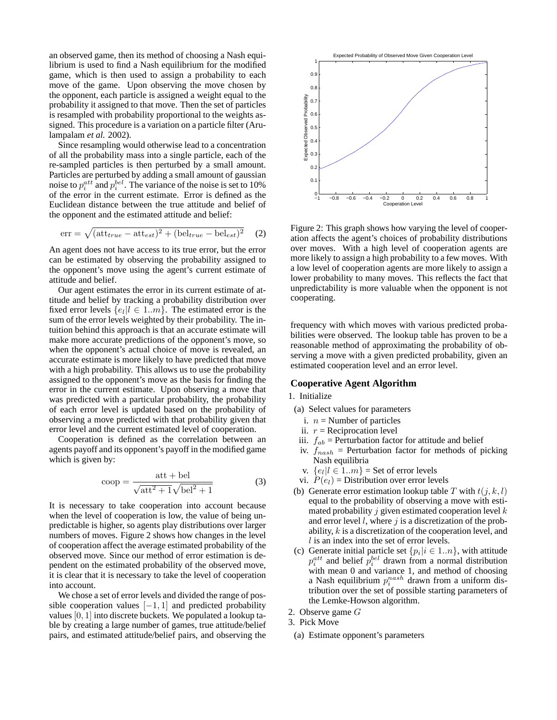an observed game, then its method of choosing a Nash equilibrium is used to find a Nash equilibrium for the modified game, which is then used to assign a probability to each move of the game. Upon observing the move chosen by the opponent, each particle is assigned a weight equal to the probability it assigned to that move. Then the set of particles is resampled with probability proportional to the weights assigned. This procedure is a variation on a particle filter (Arulampalam *et al.* 2002).

Since resampling would otherwise lead to a concentration of all the probability mass into a single particle, each of the re-sampled particles is then perturbed by a small amount. Particles are perturbed by adding a small amount of gaussian noise to  $p_i^{att}$  and  $p_i^{bel}$ . The variance of the noise is set to 10% of the error in the current estimate. Error is defined as the Euclidean distance between the true attitude and belief of the opponent and the estimated attitude and belief:

$$
err = \sqrt{(att_{true} - att_{est})^2 + (bel_{true} - bel_{est})^2}
$$
 (2)

An agent does not have access to its true error, but the error can be estimated by observing the probability assigned to the opponent's move using the agent's current estimate of attitude and belief.

Our agent estimates the error in its current estimate of attitude and belief by tracking a probability distribution over fixed error levels  $\{e_l | l \in 1..m\}$ . The estimated error is the sum of the error levels weighted by their probability. The intuition behind this approach is that an accurate estimate will make more accurate predictions of the opponent's move, so when the opponent's actual choice of move is revealed, an accurate estimate is more likely to have predicted that move with a high probability. This allows us to use the probability assigned to the opponent's move as the basis for finding the error in the current estimate. Upon observing a move that was predicted with a particular probability, the probability of each error level is updated based on the probability of observing a move predicted with that probability given that error level and the current estimated level of cooperation.

Cooperation is defined as the correlation between an agents payoff and its opponent's payoff in the modified game which is given by:

$$
coop = \frac{att + bel}{\sqrt{att^2 + 1}\sqrt{bel^2 + 1}}\tag{3}
$$

It is necessary to take cooperation into account because when the level of cooperation is low, the value of being unpredictable is higher, so agents play distributions over larger numbers of moves. Figure 2 shows how changes in the level of cooperation affect the average estimated probability of the observed move. Since our method of error estimation is dependent on the estimated probability of the observed move, it is clear that it is necessary to take the level of cooperation into account.

We chose a set of error levels and divided the range of possible cooperation values  $[-1, 1]$  and predicted probability values [0, 1] into discrete buckets. We populated a lookup table by creating a large number of games, true attitude/belief pairs, and estimated attitude/belief pairs, and observing the



Figure 2: This graph shows how varying the level of cooperation affects the agent's choices of probability distributions over moves. With a high level of cooperation agents are more likely to assign a high probability to a few moves. With a low level of cooperation agents are more likely to assign a lower probability to many moves. This reflects the fact that unpredictability is more valuable when the opponent is not cooperating.

frequency with which moves with various predicted probabilities were observed. The lookup table has proven to be a reasonable method of approximating the probability of observing a move with a given predicted probability, given an estimated cooperation level and an error level.

#### **Cooperative Agent Algorithm**

## 1. Initialize

- (a) Select values for parameters
	- i.  $n =$  Number of particles
	- ii.  $r =$  Reciprocation level
- iii.  $f_{ab}$  = Perturbation factor for attitude and belief
- iv.  $f_{nash}$  = Perturbation factor for methods of picking Nash equilibria
- v.  $\{e_l | l \in 1..m\}$  = Set of error levels
- vi.  $P(e_l)$  = Distribution over error levels
- (b) Generate error estimation lookup table T with  $t(j, k, l)$ equal to the probability of observing a move with estimated probability  $j$  given estimated cooperation level  $k$ and error level  $l$ , where  $j$  is a discretization of the probability, k is a discretization of the cooperation level, and  $l$  is an index into the set of error levels.
- (c) Generate initial particle set  $\{p_i | i \in 1..n\}$ , with attitude  $p_i^{att}$  and belief  $p_i^{bel}$  drawn from a normal distribution with mean 0 and variance 1, and method of choosing a Nash equilibrium  $p_i^{nash}$  drawn from a uniform distribution over the set of possible starting parameters of the Lemke-Howson algorithm.
- 2. Observe game G
- 3. Pick Move
- (a) Estimate opponent's parameters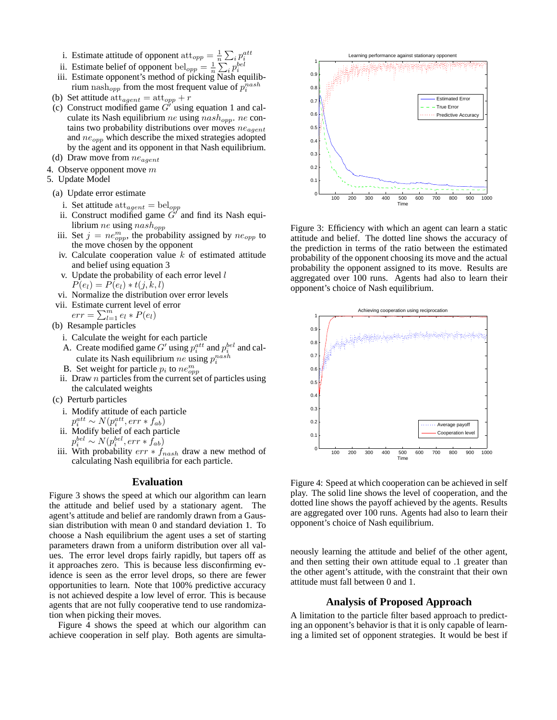- i. Estimate attitude of opponent  $\text{att}_{opp} = \frac{1}{n}$  $\frac{1}{n} \sum_i p_i^{att}$
- ii. Estimate belief of opponent bel<sub>opp</sub> =  $\frac{1}{n}$  $\frac{1}{n} \sum_i p_i^{bel}$
- iii. Estimate opponent's method of picking Nash equilibrium nash<sub>opp</sub> from the most frequent value of  $p_i^{nash}$
- (b) Set attitude  $\text{att}_{agent} = \text{att}_{opp} + r$
- (c) Construct modified game  $G'$  using equation 1 and calculate its Nash equilibrium ne using  $nash_{opp}$ . ne contains two probability distributions over moves  $ne_{agent}$ and  $ne_{opp}$  which describe the mixed strategies adopted by the agent and its opponent in that Nash equilibrium.
- (d) Draw move from  $ne_{agent}$
- 4. Observe opponent move  $m$
- 5. Update Model
- (a) Update error estimate
	- i. Set attitude  $\text{att}_{agent} = \text{bel}_{opp}$
	- ii. Construct modified game  $G'$  and find its Nash equilibrium $ne$  using  $nash_{opp}$
	- iii. Set  $j = ne_{opp}^m$ , the probability assigned by  $ne_{opp}$  to the move chosen by the opponent
	- iv. Calculate cooperation value  $k$  of estimated attitude and belief using equation 3
	- v. Update the probability of each error level  $l$  $P(e_l) = P(e_l) * t(j, k, l)$
- vi. Normalize the distribution over error levels
- vii. Estimate current level of error
- $err = \sum_{l=1}^{m} e_l * P(e_l)$
- (b) Resample particles
	- i. Calculate the weight for each particle
	- A. Create modified game G' using  $p_i^{att}$  and  $p_i^{bel}$  and calculate its Nash equilibrium ne using  $p_i^{nash}$
	- B. Set weight for particle  $p_i$  to  $ne^{m}_{opp}$
	- ii. Draw  $n$  particles from the current set of particles using the calculated weights
- (c) Perturb particles
	- i. Modify attitude of each particle  $p_i^{att} \sim N(p_i^{att}, err * f_{ab})$
	- ii. Modify belief of each particle  $p_i^{bel} \sim N(p_i^{bel}, err * f_{ab})$
- iii. With probability  $err * f_{nash}$  draw a new method of calculating Nash equilibria for each particle.

# **Evaluation**

Figure 3 shows the speed at which our algorithm can learn the attitude and belief used by a stationary agent. The agent's attitude and belief are randomly drawn from a Gaussian distribution with mean 0 and standard deviation 1. To choose a Nash equilibrium the agent uses a set of starting parameters drawn from a uniform distribution over all values. The error level drops fairly rapidly, but tapers off as it approaches zero. This is because less disconfirming evidence is seen as the error level drops, so there are fewer opportunities to learn. Note that 100% predictive accuracy is not achieved despite a low level of error. This is because agents that are not fully cooperative tend to use randomization when picking their moves.

Figure 4 shows the speed at which our algorithm can achieve cooperation in self play. Both agents are simulta-



Figure 3: Efficiency with which an agent can learn a static attitude and belief. The dotted line shows the accuracy of the prediction in terms of the ratio between the estimated probability of the opponent choosing its move and the actual probability the opponent assigned to its move. Results are aggregated over 100 runs. Agents had also to learn their opponent's choice of Nash equilibrium.



Figure 4: Speed at which cooperation can be achieved in self play. The solid line shows the level of cooperation, and the dotted line shows the payoff achieved by the agents. Results are aggregated over 100 runs. Agents had also to learn their opponent's choice of Nash equilibrium.

neously learning the attitude and belief of the other agent, and then setting their own attitude equal to .1 greater than the other agent's attitude, with the constraint that their own attitude must fall between 0 and 1.

# **Analysis of Proposed Approach**

A limitation to the particle filter based approach to predicting an opponent's behavior is that it is only capable of learning a limited set of opponent strategies. It would be best if